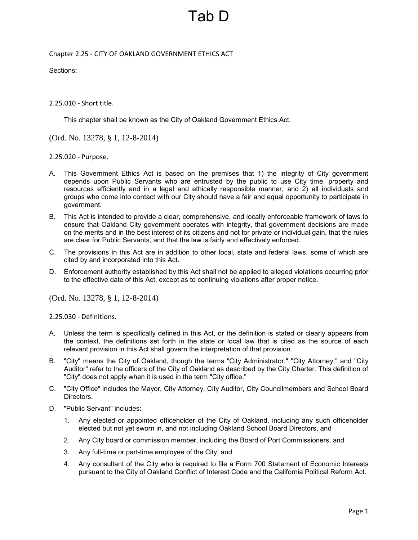Chapter 2.25 - CITY OF OAKLAND GOVERNMENT ETHICS ACT

Sections:

2.25.010 - Short title.

This chapter shall be known as the City of Oakland Government Ethics Act.

(Ord. No. 13278, § 1, 12-8-2014)

2.25.020 - Purpose.

- A. This Government Ethics Act is based on the premises that 1) the integrity of City government depends upon Public Servants who are entrusted by the public to use City time, property and resources efficiently and in a legal and ethically responsible manner, and 2) all individuals and groups who come into contact with our City should have a fair and equal opportunity to participate in government.
- B. This Act is intended to provide a clear, comprehensive, and locally enforceable framework of laws to ensure that Oakland City government operates with integrity, that government decisions are made on the merits and in the best interest of its citizens and not for private or individual gain, that the rules are clear for Public Servants, and that the law is fairly and effectively enforced.
- C. The provisions in this Act are in addition to other local, state and federal laws, some of which are cited by and incorporated into this Act.
- D. Enforcement authority established by this Act shall not be applied to alleged violations occurring prior to the effective date of this Act, except as to continuing violations after proper notice.

(Ord. No. 13278, § 1, 12-8-2014)

2.25.030 - Definitions.

- A. Unless the term is specifically defined in this Act, or the definition is stated or clearly appears from the context, the definitions set forth in the state or local law that is cited as the source of each relevant provision in this Act shall govern the interpretation of that provision.
- B. "City" means the City of Oakland, though the terms "City Administrator," "City Attorney," and "City Auditor" refer to the officers of the City of Oakland as described by the City Charter. This definition of "City" does not apply when it is used in the term "City office."
- C. "City Office" includes the Mayor, City Attorney, City Auditor, City Councilmembers and School Board Directors.
- D. "Public Servant" includes:
	- 1. Any elected or appointed officeholder of the City of Oakland, including any such officeholder elected but not yet sworn in, and not including Oakland School Board Directors, and
	- 2. Any City board or commission member, including the Board of Port Commissioners, and
	- 3. Any full-time or part-time employee of the City, and
	- 4. Any consultant of the City who is required to file a Form 700 Statement of Economic Interests pursuant to the City of Oakland Conflict of Interest Code and the California Political Reform Act.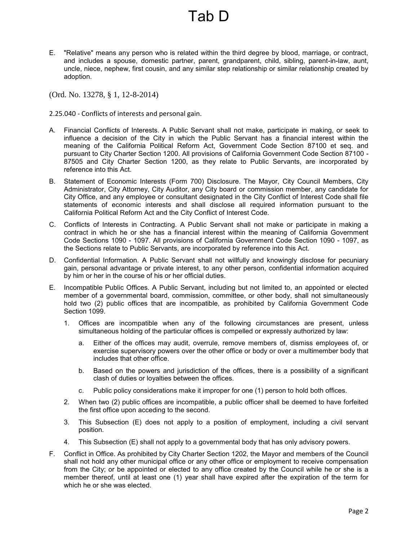E. "Relative" means any person who is related within the third degree by blood, marriage, or contract, and includes a spouse, domestic partner, parent, grandparent, child, sibling, parent-in-law, aunt, uncle, niece, nephew, first cousin, and any similar step relationship or similar relationship created by adoption.

(Ord. No. 13278, § 1, 12-8-2014)

2.25.040 - Conflicts of interests and personal gain.

- A. Financial Conflicts of Interests. A Public Servant shall not make, participate in making, or seek to influence a decision of the City in which the Public Servant has a financial interest within the meaning of the California Political Reform Act, Government Code Section 87100 et seq. and pursuant to City Charter Section 1200. All provisions of California Government Code Section 87100 - 87505 and City Charter Section 1200, as they relate to Public Servants, are incorporated by reference into this Act.
- B. Statement of Economic Interests (Form 700) Disclosure. The Mayor, City Council Members, City Administrator, City Attorney, City Auditor, any City board or commission member, any candidate for City Office, and any employee or consultant designated in the City Conflict of Interest Code shall file statements of economic interests and shall disclose all required information pursuant to the California Political Reform Act and the City Conflict of Interest Code.
- C. Conflicts of Interests in Contracting. A Public Servant shall not make or participate in making a contract in which he or she has a financial interest within the meaning of California Government Code Sections 1090 - 1097. All provisions of California Government Code Section 1090 - 1097, as the Sections relate to Public Servants, are incorporated by reference into this Act.
- D. Confidential Information. A Public Servant shall not willfully and knowingly disclose for pecuniary gain, personal advantage or private interest, to any other person, confidential information acquired by him or her in the course of his or her official duties.
- E. Incompatible Public Offices. A Public Servant, including but not limited to, an appointed or elected member of a governmental board, commission, committee, or other body, shall not simultaneously hold two (2) public offices that are incompatible, as prohibited by California Government Code Section 1099.
	- 1. Offices are incompatible when any of the following circumstances are present, unless simultaneous holding of the particular offices is compelled or expressly authorized by law:
		- a. Either of the offices may audit, overrule, remove members of, dismiss employees of, or exercise supervisory powers over the other office or body or over a multimember body that includes that other office.
		- b. Based on the powers and jurisdiction of the offices, there is a possibility of a significant clash of duties or loyalties between the offices.
		- c. Public policy considerations make it improper for one (1) person to hold both offices.
	- 2. When two (2) public offices are incompatible, a public officer shall be deemed to have forfeited the first office upon acceding to the second.
	- 3. This Subsection (E) does not apply to a position of employment, including a civil servant position.
	- 4. This Subsection (E) shall not apply to a governmental body that has only advisory powers.
- F. Conflict in Office. As prohibited by City Charter Section 1202, the Mayor and members of the Council shall not hold any other municipal office or any other office or employment to receive compensation from the City; or be appointed or elected to any office created by the Council while he or she is a member thereof, until at least one (1) year shall have expired after the expiration of the term for which he or she was elected.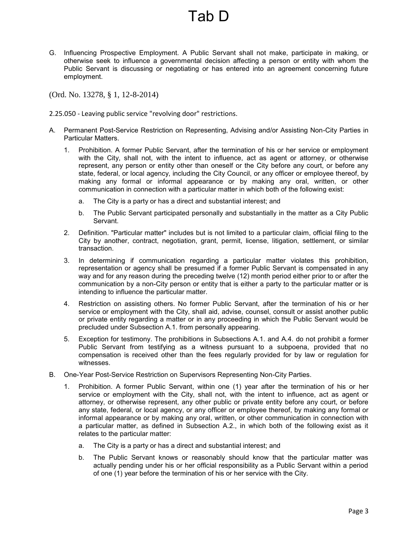G. Influencing Prospective Employment. A Public Servant shall not make, participate in making, or otherwise seek to influence a governmental decision affecting a person or entity with whom the Public Servant is discussing or negotiating or has entered into an agreement concerning future employment.

(Ord. No. 13278, § 1, 12-8-2014)

2.25.050 - Leaving public service "revolving door" restrictions.

- A. Permanent Post-Service Restriction on Representing, Advising and/or Assisting Non-City Parties in Particular Matters.
	- 1. Prohibition. A former Public Servant, after the termination of his or her service or employment with the City, shall not, with the intent to influence, act as agent or attorney, or otherwise represent, any person or entity other than oneself or the City before any court, or before any state, federal, or local agency, including the City Council, or any officer or employee thereof, by making any formal or informal appearance or by making any oral, written, or other communication in connection with a particular matter in which both of the following exist:
		- a. The City is a party or has a direct and substantial interest; and
		- b. The Public Servant participated personally and substantially in the matter as a City Public Servant.
	- 2. Definition. "Particular matter" includes but is not limited to a particular claim, official filing to the City by another, contract, negotiation, grant, permit, license, litigation, settlement, or similar transaction.
	- 3. In determining if communication regarding a particular matter violates this prohibition, representation or agency shall be presumed if a former Public Servant is compensated in any way and for any reason during the preceding twelve (12) month period either prior to or after the communication by a non-City person or entity that is either a party to the particular matter or is intending to influence the particular matter.
	- 4. Restriction on assisting others. No former Public Servant, after the termination of his or her service or employment with the City, shall aid, advise, counsel, consult or assist another public or private entity regarding a matter or in any proceeding in which the Public Servant would be precluded under Subsection A.1. from personally appearing.
	- 5. Exception for testimony. The prohibitions in Subsections A.1. and A.4. do not prohibit a former Public Servant from testifying as a witness pursuant to a subpoena, provided that no compensation is received other than the fees regularly provided for by law or regulation for witnesses.
- B. One-Year Post-Service Restriction on Supervisors Representing Non-City Parties.
	- 1. Prohibition. A former Public Servant, within one (1) year after the termination of his or her service or employment with the City, shall not, with the intent to influence, act as agent or attorney, or otherwise represent, any other public or private entity before any court, or before any state, federal, or local agency, or any officer or employee thereof, by making any formal or informal appearance or by making any oral, written, or other communication in connection with a particular matter, as defined in Subsection A.2., in which both of the following exist as it relates to the particular matter:
		- a. The City is a party or has a direct and substantial interest; and
		- b. The Public Servant knows or reasonably should know that the particular matter was actually pending under his or her official responsibility as a Public Servant within a period of one (1) year before the termination of his or her service with the City.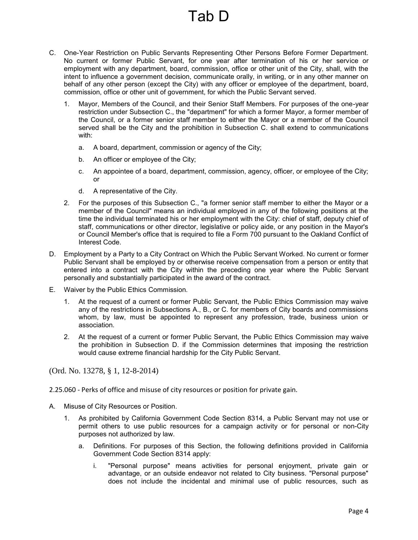- C. One-Year Restriction on Public Servants Representing Other Persons Before Former Department. No current or former Public Servant, for one year after termination of his or her service or employment with any department, board, commission, office or other unit of the City, shall, with the intent to influence a government decision, communicate orally, in writing, or in any other manner on behalf of any other person (except the City) with any officer or employee of the department, board, commission, office or other unit of government, for which the Public Servant served.
	- 1. Mayor, Members of the Council, and their Senior Staff Members. For purposes of the one-year restriction under Subsection C., the "department" for which a former Mayor, a former member of the Council, or a former senior staff member to either the Mayor or a member of the Council served shall be the City and the prohibition in Subsection C. shall extend to communications with:
		- a. A board, department, commission or agency of the City;
		- b. An officer or employee of the City;
		- c. An appointee of a board, department, commission, agency, officer, or employee of the City; or
		- d. A representative of the City.
	- 2. For the purposes of this Subsection C., "a former senior staff member to either the Mayor or a member of the Council" means an individual employed in any of the following positions at the time the individual terminated his or her employment with the City: chief of staff, deputy chief of staff, communications or other director, legislative or policy aide, or any position in the Mayor's or Council Member's office that is required to file a Form 700 pursuant to the Oakland Conflict of Interest Code.
- D. Employment by a Party to a City Contract on Which the Public Servant Worked. No current or former Public Servant shall be employed by or otherwise receive compensation from a person or entity that entered into a contract with the City within the preceding one year where the Public Servant personally and substantially participated in the award of the contract.
- E. Waiver by the Public Ethics Commission.
	- 1. At the request of a current or former Public Servant, the Public Ethics Commission may waive any of the restrictions in Subsections A., B., or C. for members of City boards and commissions whom, by law, must be appointed to represent any profession, trade, business union or association.
	- 2. At the request of a current or former Public Servant, the Public Ethics Commission may waive the prohibition in Subsection D. if the Commission determines that imposing the restriction would cause extreme financial hardship for the City Public Servant.

(Ord. No. 13278, § 1, 12-8-2014)

2.25.060 - Perks of office and misuse of city resources or position for private gain.

- A. Misuse of City Resources or Position.
	- 1. As prohibited by California Government Code Section 8314, a Public Servant may not use or permit others to use public resources for a campaign activity or for personal or non-City purposes not authorized by law.
		- a. Definitions. For purposes of this Section, the following definitions provided in California Government Code Section 8314 apply:
			- i. "Personal purpose" means activities for personal enjoyment, private gain or advantage, or an outside endeavor not related to City business. "Personal purpose" does not include the incidental and minimal use of public resources, such as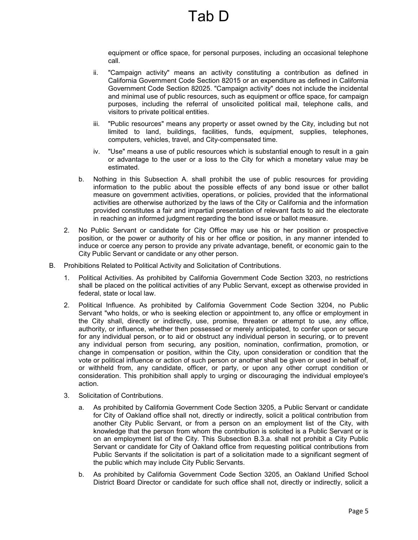equipment or office space, for personal purposes, including an occasional telephone call.

- ii. "Campaign activity" means an activity constituting a contribution as defined in California Government Code Section 82015 or an expenditure as defined in California Government Code Section 82025. "Campaign activity" does not include the incidental and minimal use of public resources, such as equipment or office space, for campaign purposes, including the referral of unsolicited political mail, telephone calls, and visitors to private political entities.
- iii. "Public resources" means any property or asset owned by the City, including but not limited to land, buildings, facilities, funds, equipment, supplies, telephones, computers, vehicles, travel, and City-compensated time.
- iv. "Use" means a use of public resources which is substantial enough to result in a gain or advantage to the user or a loss to the City for which a monetary value may be estimated.
- b. Nothing in this Subsection A. shall prohibit the use of public resources for providing information to the public about the possible effects of any bond issue or other ballot measure on government activities, operations, or policies, provided that the informational activities are otherwise authorized by the laws of the City or California and the information provided constitutes a fair and impartial presentation of relevant facts to aid the electorate in reaching an informed judgment regarding the bond issue or ballot measure.
- 2. No Public Servant or candidate for City Office may use his or her position or prospective position, or the power or authority of his or her office or position, in any manner intended to induce or coerce any person to provide any private advantage, benefit, or economic gain to the City Public Servant or candidate or any other person.
- B. Prohibitions Related to Political Activity and Solicitation of Contributions.
	- 1. Political Activities. As prohibited by California Government Code Section 3203, no restrictions shall be placed on the political activities of any Public Servant, except as otherwise provided in federal, state or local law.
	- 2. Political Influence. As prohibited by California Government Code Section 3204, no Public Servant "who holds, or who is seeking election or appointment to, any office or employment in the City shall, directly or indirectly, use, promise, threaten or attempt to use, any office, authority, or influence, whether then possessed or merely anticipated, to confer upon or secure for any individual person, or to aid or obstruct any individual person in securing, or to prevent any individual person from securing, any position, nomination, confirmation, promotion, or change in compensation or position, within the City, upon consideration or condition that the vote or political influence or action of such person or another shall be given or used in behalf of, or withheld from, any candidate, officer, or party, or upon any other corrupt condition or consideration. This prohibition shall apply to urging or discouraging the individual employee's action.
	- 3. Solicitation of Contributions.
		- a. As prohibited by California Government Code Section 3205, a Public Servant or candidate for City of Oakland office shall not, directly or indirectly, solicit a political contribution from another City Public Servant, or from a person on an employment list of the City, with knowledge that the person from whom the contribution is solicited is a Public Servant or is on an employment list of the City. This Subsection B.3.a. shall not prohibit a City Public Servant or candidate for City of Oakland office from requesting political contributions from Public Servants if the solicitation is part of a solicitation made to a significant segment of the public which may include City Public Servants.
		- b. As prohibited by California Government Code Section 3205, an Oakland Unified School District Board Director or candidate for such office shall not, directly or indirectly, solicit a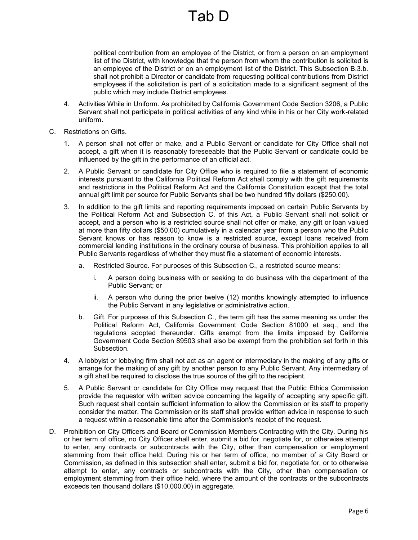political contribution from an employee of the District, or from a person on an employment list of the District, with knowledge that the person from whom the contribution is solicited is an employee of the District or on an employment list of the District. This Subsection B.3.b. shall not prohibit a Director or candidate from requesting political contributions from District employees if the solicitation is part of a solicitation made to a significant segment of the public which may include District employees.

- 4. Activities While in Uniform. As prohibited by California Government Code Section 3206, a Public Servant shall not participate in political activities of any kind while in his or her City work-related uniform.
- C. Restrictions on Gifts.
	- 1. A person shall not offer or make, and a Public Servant or candidate for City Office shall not accept, a gift when it is reasonably foreseeable that the Public Servant or candidate could be influenced by the gift in the performance of an official act.
	- 2. A Public Servant or candidate for City Office who is required to file a statement of economic interests pursuant to the California Political Reform Act shall comply with the gift requirements and restrictions in the Political Reform Act and the California Constitution except that the total annual gift limit per source for Public Servants shall be two hundred fifty dollars (\$250.00).
	- 3. In addition to the gift limits and reporting requirements imposed on certain Public Servants by the Political Reform Act and Subsection C. of this Act, a Public Servant shall not solicit or accept, and a person who is a restricted source shall not offer or make, any gift or loan valued at more than fifty dollars (\$50.00) cumulatively in a calendar year from a person who the Public Servant knows or has reason to know is a restricted source, except loans received from commercial lending institutions in the ordinary course of business. This prohibition applies to all Public Servants regardless of whether they must file a statement of economic interests.
		- a. Restricted Source. For purposes of this Subsection C., a restricted source means:
			- i. A person doing business with or seeking to do business with the department of the Public Servant; or
			- ii. A person who during the prior twelve (12) months knowingly attempted to influence the Public Servant in any legislative or administrative action.
		- b. Gift. For purposes of this Subsection C., the term gift has the same meaning as under the Political Reform Act, California Government Code Section 81000 et seq., and the regulations adopted thereunder. Gifts exempt from the limits imposed by California Government Code Section 89503 shall also be exempt from the prohibition set forth in this Subsection.
	- 4. A lobbyist or lobbying firm shall not act as an agent or intermediary in the making of any gifts or arrange for the making of any gift by another person to any Public Servant. Any intermediary of a gift shall be required to disclose the true source of the gift to the recipient.
	- 5. A Public Servant or candidate for City Office may request that the Public Ethics Commission provide the requestor with written advice concerning the legality of accepting any specific gift. Such request shall contain sufficient information to allow the Commission or its staff to properly consider the matter. The Commission or its staff shall provide written advice in response to such a request within a reasonable time after the Commission's receipt of the request.
- D. Prohibition on City Officers and Board or Commission Members Contracting with the City. During his or her term of office, no City Officer shall enter, submit a bid for, negotiate for, or otherwise attempt to enter, any contracts or subcontracts with the City, other than compensation or employment stemming from their office held. During his or her term of office, no member of a City Board or Commission, as defined in this subsection shall enter, submit a bid for, negotiate for, or to otherwise attempt to enter, any contracts or subcontracts with the City, other than compensation or employment stemming from their office held, where the amount of the contracts or the subcontracts exceeds ten thousand dollars (\$10,000.00) in aggregate.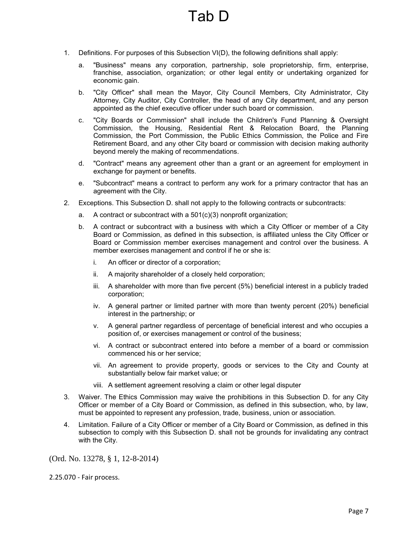1. Definitions. For purposes of this Subsection VI(D), the following definitions shall apply:

Tab D

- a. "Business" means any corporation, partnership, sole proprietorship, firm, enterprise, franchise, association, organization; or other legal entity or undertaking organized for economic gain.
- b. "City Officer" shall mean the Mayor, City Council Members, City Administrator, City Attorney, City Auditor, City Controller, the head of any City department, and any person appointed as the chief executive officer under such board or commission.
- c. "City Boards or Commission" shall include the Children's Fund Planning & Oversight Commission, the Housing, Residential Rent & Relocation Board, the Planning Commission, the Port Commission, the Public Ethics Commission, the Police and Fire Retirement Board, and any other City board or commission with decision making authority beyond merely the making of recommendations.
- d. "Contract" means any agreement other than a grant or an agreement for employment in exchange for payment or benefits.
- e. "Subcontract" means a contract to perform any work for a primary contractor that has an agreement with the City.
- 2. Exceptions. This Subsection D. shall not apply to the following contracts or subcontracts:
	- a. A contract or subcontract with a 501(c)(3) nonprofit organization;
	- b. A contract or subcontract with a business with which a City Officer or member of a City Board or Commission, as defined in this subsection, is affiliated unless the City Officer or Board or Commission member exercises management and control over the business. A member exercises management and control if he or she is:
		- i. An officer or director of a corporation;
		- ii. A majority shareholder of a closely held corporation;
		- iii. A shareholder with more than five percent (5%) beneficial interest in a publicly traded corporation;
		- iv. A general partner or limited partner with more than twenty percent (20%) beneficial interest in the partnership; or
		- v. A general partner regardless of percentage of beneficial interest and who occupies a position of, or exercises management or control of the business;
		- vi. A contract or subcontract entered into before a member of a board or commission commenced his or her service;
		- vii. An agreement to provide property, goods or services to the City and County at substantially below fair market value; or
		- viii. A settlement agreement resolving a claim or other legal disputer
- 3. Waiver. The Ethics Commission may waive the prohibitions in this Subsection D. for any City Officer or member of a City Board or Commission, as defined in this subsection, who, by law, must be appointed to represent any profession, trade, business, union or association.
- 4. Limitation. Failure of a City Officer or member of a City Board or Commission, as defined in this subsection to comply with this Subsection D. shall not be grounds for invalidating any contract with the City.

(Ord. No. 13278, § 1, 12-8-2014)

2.25.070 - Fair process.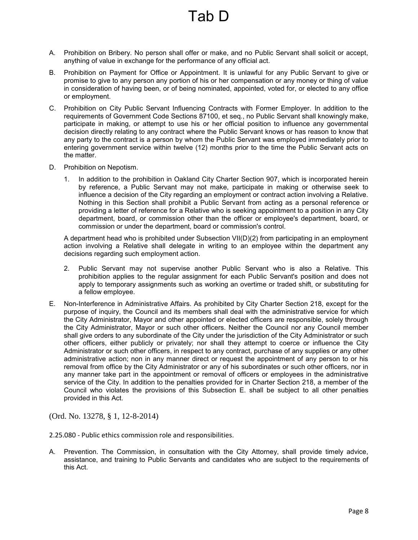- A. Prohibition on Bribery. No person shall offer or make, and no Public Servant shall solicit or accept, anything of value in exchange for the performance of any official act.
- B. Prohibition on Payment for Office or Appointment. It is unlawful for any Public Servant to give or promise to give to any person any portion of his or her compensation or any money or thing of value in consideration of having been, or of being nominated, appointed, voted for, or elected to any office or employment.
- C. Prohibition on City Public Servant Influencing Contracts with Former Employer. In addition to the requirements of Government Code Sections 87100, et seq., no Public Servant shall knowingly make, participate in making, or attempt to use his or her official position to influence any governmental decision directly relating to any contract where the Public Servant knows or has reason to know that any party to the contract is a person by whom the Public Servant was employed immediately prior to entering government service within twelve (12) months prior to the time the Public Servant acts on the matter.
- D. Prohibition on Nepotism.
	- 1. In addition to the prohibition in Oakland City Charter Section 907, which is incorporated herein by reference, a Public Servant may not make, participate in making or otherwise seek to influence a decision of the City regarding an employment or contract action involving a Relative. Nothing in this Section shall prohibit a Public Servant from acting as a personal reference or providing a letter of reference for a Relative who is seeking appointment to a position in any City department, board, or commission other than the officer or employee's department, board, or commission or under the department, board or commission's control.

A department head who is prohibited under Subsection VII(D)(2) from participating in an employment action involving a Relative shall delegate in writing to an employee within the department any decisions regarding such employment action.

- 2. Public Servant may not supervise another Public Servant who is also a Relative. This prohibition applies to the regular assignment for each Public Servant's position and does not apply to temporary assignments such as working an overtime or traded shift, or substituting for a fellow employee.
- E. Non-Interference in Administrative Affairs. As prohibited by City Charter Section 218, except for the purpose of inquiry, the Council and its members shall deal with the administrative service for which the City Administrator, Mayor and other appointed or elected officers are responsible, solely through the City Administrator, Mayor or such other officers. Neither the Council nor any Council member shall give orders to any subordinate of the City under the jurisdiction of the City Administrator or such other officers, either publicly or privately; nor shall they attempt to coerce or influence the City Administrator or such other officers, in respect to any contract, purchase of any supplies or any other administrative action; non in any manner direct or request the appointment of any person to or his removal from office by the City Administrator or any of his subordinates or such other officers, nor in any manner take part in the appointment or removal of officers or employees in the administrative service of the City. In addition to the penalties provided for in Charter Section 218, a member of the Council who violates the provisions of this Subsection E. shall be subject to all other penalties provided in this Act.

(Ord. No. 13278, § 1, 12-8-2014)

- 2.25.080 Public ethics commission role and responsibilities.
- A. Prevention. The Commission, in consultation with the City Attorney, shall provide timely advice, assistance, and training to Public Servants and candidates who are subject to the requirements of this Act.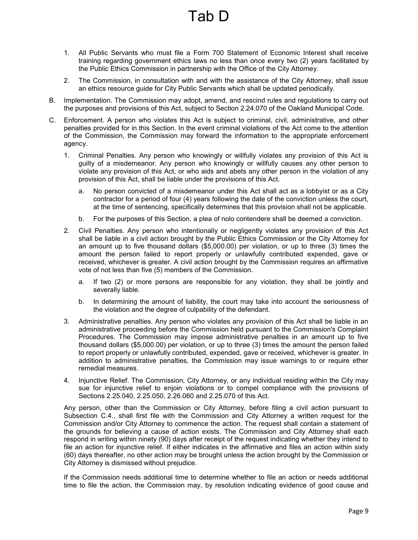- 1. All Public Servants who must file a Form 700 Statement of Economic Interest shall receive training regarding government ethics laws no less than once every two (2) years facilitated by the Public Ethics Commission in partnership with the Office of the City Attorney.
- 2. The Commission, in consultation with and with the assistance of the City Attorney, shall issue an ethics resource guide for City Public Servants which shall be updated periodically.
- B. Implementation. The Commission may adopt, amend, and rescind rules and regulations to carry out the purposes and provisions of this Act, subject to Section 2.24.070 of the Oakland Municipal Code.
- C. Enforcement. A person who violates this Act is subject to criminal, civil, administrative, and other penalties provided for in this Section. In the event criminal violations of the Act come to the attention of the Commission, the Commission may forward the information to the appropriate enforcement agency.
	- 1. Criminal Penalties. Any person who knowingly or willfully violates any provision of this Act is guilty of a misdemeanor. Any person who knowingly or willfully causes any other person to violate any provision of this Act, or who aids and abets any other person in the violation of any provision of this Act, shall be liable under the provisions of this Act.
		- a. No person convicted of a misdemeanor under this Act shall act as a lobbyist or as a City contractor for a period of four (4) years following the date of the conviction unless the court, at the time of sentencing, specifically determines that this provision shall not be applicable.
		- b. For the purposes of this Section, a plea of nolo contendere shall be deemed a conviction.
	- 2. Civil Penalties. Any person who intentionally or negligently violates any provision of this Act shall be liable in a civil action brought by the Public Ethics Commission or the City Attorney for an amount up to five thousand dollars (\$5,000.00) per violation, or up to three (3) times the amount the person failed to report properly or unlawfully contributed expended, gave or received, whichever is greater. A civil action brought by the Commission requires an affirmative vote of not less than five (5) members of the Commission.
		- a. If two (2) or more persons are responsible for any violation, they shall be jointly and severally liable.
		- b. In determining the amount of liability, the court may take into account the seriousness of the violation and the degree of culpability of the defendant.
	- 3. Administrative penalties. Any person who violates any provision of this Act shall be liable in an administrative proceeding before the Commission held pursuant to the Commission's Complaint Procedures. The Commission may impose administrative penalties in an amount up to five thousand dollars (\$5,000.00) per violation, or up to three (3) times the amount the person failed to report properly or unlawfully contributed, expended, gave or received, whichever is greater. In addition to administrative penalties, the Commission may issue warnings to or require ether remedial measures.
	- 4. Injunctive Relief. The Commission, City Attorney, or any individual residing within the City may sue for injunctive relief to enjoin violations or to compel compliance with the provisions of Sections 2.25.040, 2.25.050, 2.26.060 and 2.25.070 of this Act.

Any person, other than the Commission or City Attorney, before filing a civil action pursuant to Subsection C.4., shall first file with the Commission and City Attorney a written request for the Commission and/or City Attorney to commence the action. The request shall contain a statement of the grounds for believing a cause of action exists. The Commission and City Attorney shall each respond in writing within ninety (90) days after receipt of the request indicating whether they intend to file an action for injunctive relief. If either indicates in the affirmative and files an action within sixty (60) days thereafter, no other action may be brought unless the action brought by the Commission or City Attorney is dismissed without prejudice.

If the Commission needs additional time to determine whether to file an action or needs additional time to file the action, the Commission may, by resolution indicating evidence of good cause and